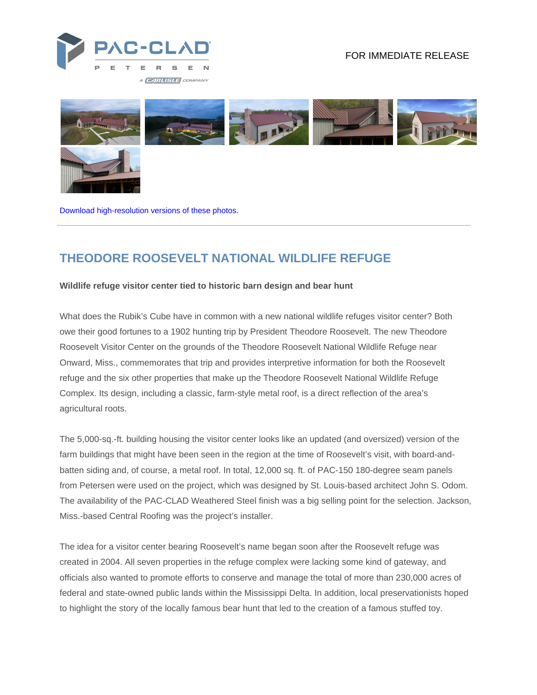

## FOR IMMEDIATE RELEASE



[Download high-resolution versions of these photos.](https://www.pac-clad.com/case-study/theodore-roosevelt-national-wildlife-refuge/?media=1)

## **THEODORE ROOSEVELT NATIONAL WILDLIFE REFUGE**

## **Wildlife refuge visitor center tied to historic barn design and bear hunt**

What does the Rubik's Cube have in common with a new national wildlife refuges visitor center? Both owe their good fortunes to a 1902 hunting trip by President Theodore Roosevelt. The new Theodore Roosevelt Visitor Center on the grounds of the Theodore Roosevelt National Wildlife Refuge near Onward, Miss., commemorates that trip and provides interpretive information for both the Roosevelt refuge and the six other properties that make up the Theodore Roosevelt National Wildlife Refuge Complex. Its design, including a classic, farm-style metal roof, is a direct reflection of the area's agricultural roots.

The 5,000-sq.-ft. building housing the visitor center looks like an updated (and oversized) version of the farm buildings that might have been seen in the region at the time of Roosevelt's visit, with board-andbatten siding and, of course, a metal roof. In total, 12,000 sq. ft. of PAC-150 180-degree seam panels from Petersen were used on the project, which was designed by St. Louis-based architect John S. Odom. The availability of the PAC-CLAD Weathered Steel finish was a big selling point for the selection. Jackson, Miss.-based Central Roofing was the project's installer.

The idea for a visitor center bearing Roosevelt's name began soon after the Roosevelt refuge was created in 2004. All seven properties in the refuge complex were lacking some kind of gateway, and officials also wanted to promote efforts to conserve and manage the total of more than 230,000 acres of federal and state-owned public lands within the Mississippi Delta. In addition, local preservationists hoped to highlight the story of the locally famous bear hunt that led to the creation of a famous stuffed toy.